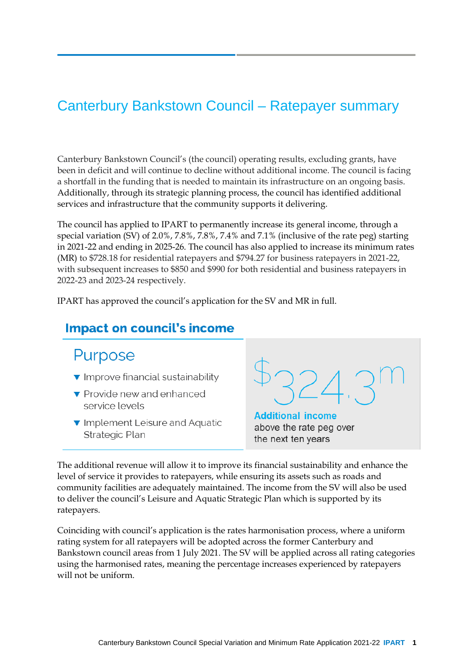# Canterbury Bankstown Council – Ratepayer summary

Canterbury Bankstown Council's (the council) operating results, excluding grants, have been in deficit and will continue to decline without additional income. The council is facing a shortfall in the funding that is needed to maintain its infrastructure on an ongoing basis. Additionally, through its strategic planning process, the council has identified additional services and infrastructure that the community supports it delivering.

The council has applied to IPART to permanently increase its general income, through a special variation (SV) of 2.0%, 7.8%, 7.8%, 7.4% and 7.1% (inclusive of the rate peg) starting in 2021-22 and ending in 2025-26. The council has also applied to increase its minimum rates (MR) to \$728.18 for residential ratepayers and \$794.27 for business ratepayers in 2021-22, with subsequent increases to \$850 and \$990 for both residential and business ratepayers in 2022-23 and 2023-24 respectively.

IPART has approved the council's application for the SV and MR in full.

### **Impact on council's income**

### Purpose ▼ Improve financial sustainability ▼ Provide new and enhanced service levels **Additional income** ▼ Implement Leisure and Aquatic above the rate peg over Strategic Plan the next ten years

The additional revenue will allow it to improve its financial sustainability and enhance the level of service it provides to ratepayers, while ensuring its assets such as roads and community facilities are adequately maintained. The income from the SV will also be used to deliver the council's Leisure and Aquatic Strategic Plan which is supported by its ratepayers.

Coinciding with council's application is the rates harmonisation process, where a uniform rating system for all ratepayers will be adopted across the former Canterbury and Bankstown council areas from 1 July 2021. The SV will be applied across all rating categories using the harmonised rates, meaning the percentage increases experienced by ratepayers will not be uniform.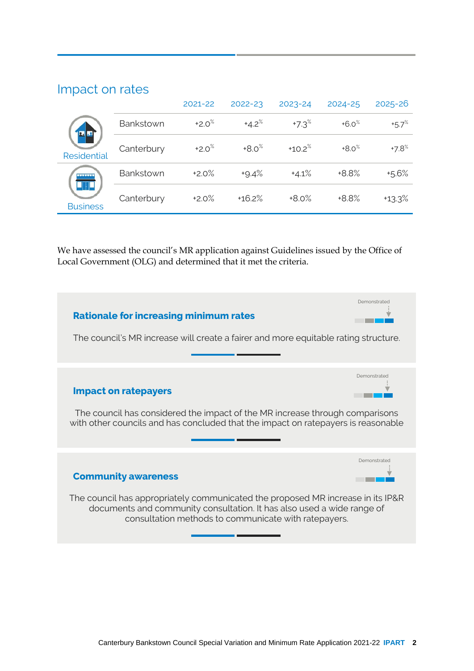| Impact on rates             |                  |         |             |              |             |             |
|-----------------------------|------------------|---------|-------------|--------------|-------------|-------------|
|                             |                  | 2021-22 | 2022-23     | 2023-24      | $2024 - 25$ | $2025 - 26$ |
| 2.1.2<br><b>Residential</b> | <b>Bankstown</b> | $+2.0%$ | $+4.2^{\%}$ | $+7.3^{\%}$  | $+6.0%$     | $+5.7%$     |
|                             | Canterbury       | $+2.0%$ | $+8.0^{\%}$ | $+10.2^{\%}$ | $+8.0\%$    | $+7.8%$     |
| ,,,,,,,<br><b>Business</b>  | Bankstown        | $+2.0%$ | $+9.4%$     | $+4.1%$      | $+8.8%$     | $+5.6%$     |
|                             | Canterbury       | $+2.0%$ | $+16.2%$    | $+8.0%$      | $+8.8%$     | $+13.3%$    |

We have assessed the council's MR application against Guidelines issued by the Office of Local Government (OLG) and determined that it met the criteria.

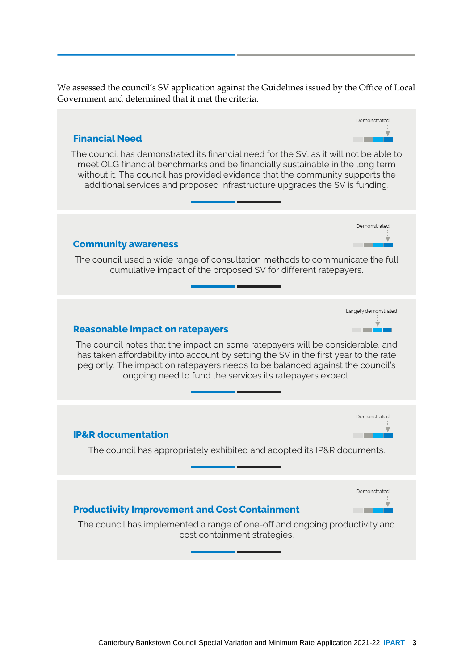We assessed the council's SV application against the Guidelines issued by the Office of Local Government and determined that it met the criteria.

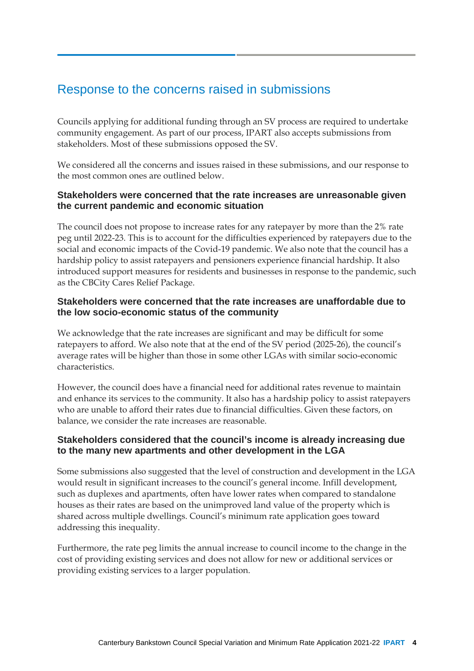## Response to the concerns raised in submissions

Councils applying for additional funding through an SV process are required to undertake community engagement. As part of our process, IPART also accepts submissions from stakeholders. Most of these submissions opposed the SV.

We considered all the concerns and issues raised in these submissions, and our response to the most common ones are outlined below.

#### **Stakeholders were concerned that the rate increases are unreasonable given the current pandemic and economic situation**

The council does not propose to increase rates for any ratepayer by more than the 2% rate peg until 2022-23. This is to account for the difficulties experienced by ratepayers due to the social and economic impacts of the Covid-19 pandemic. We also note that the council has a hardship policy to assist ratepayers and pensioners experience financial hardship. It also introduced support measures for residents and businesses in response to the pandemic, such as the CBCity Cares Relief Package.

#### **Stakeholders were concerned that the rate increases are unaffordable due to the low socio-economic status of the community**

We acknowledge that the rate increases are significant and may be difficult for some ratepayers to afford. We also note that at the end of the SV period (2025-26), the council's average rates will be higher than those in some other LGAs with similar socio-economic characteristics.

However, the council does have a financial need for additional rates revenue to maintain and enhance its services to the community. It also has a hardship policy to assist ratepayers who are unable to afford their rates due to financial difficulties. Given these factors, on balance, we consider the rate increases are reasonable.

#### **Stakeholders considered that the council's income is already increasing due to the many new apartments and other development in the LGA**

Some submissions also suggested that the level of construction and development in the LGA would result in significant increases to the council's general income. Infill development, such as duplexes and apartments, often have lower rates when compared to standalone houses as their rates are based on the unimproved land value of the property which is shared across multiple dwellings. Council's minimum rate application goes toward addressing this inequality.

Furthermore, the rate peg limits the annual increase to council income to the change in the cost of providing existing services and does not allow for new or additional services or providing existing services to a larger population.